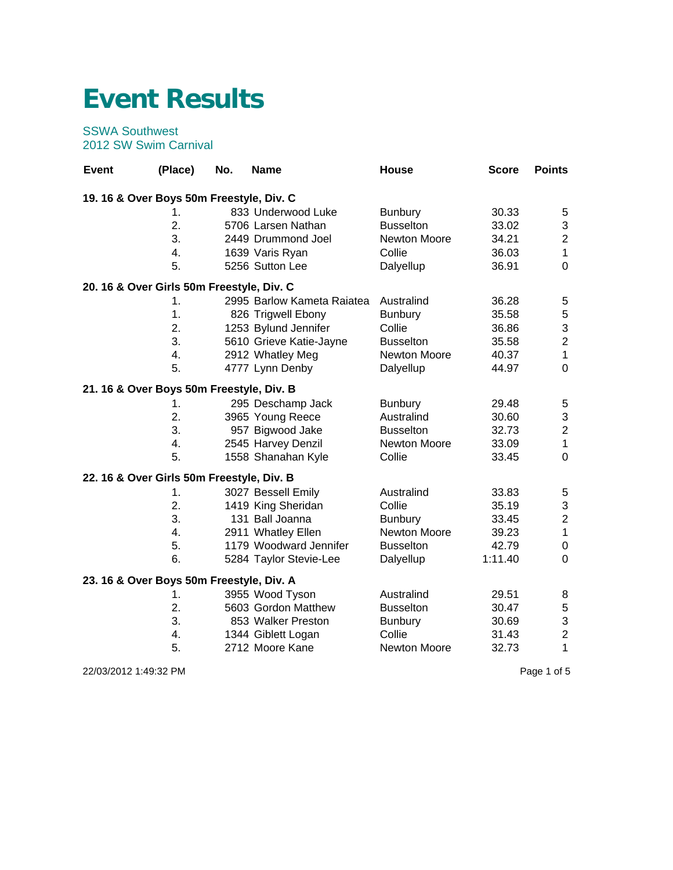## **Event Results**

## SSWA Southwest 2012 SW Swim Carnival

| <b>Event</b>                              | (Place) | No. | <b>Name</b>                | House               | <b>Score</b> | <b>Points</b>             |
|-------------------------------------------|---------|-----|----------------------------|---------------------|--------------|---------------------------|
| 19.16 & Over Boys 50m Freestyle, Div. C   |         |     |                            |                     |              |                           |
|                                           | 1.      |     | 833 Underwood Luke         | <b>Bunbury</b>      | 30.33        | $\sqrt{5}$                |
|                                           | 2.      |     | 5706 Larsen Nathan         | <b>Busselton</b>    | 33.02        | $\ensuremath{\mathsf{3}}$ |
|                                           | 3.      |     | 2449 Drummond Joel         | <b>Newton Moore</b> | 34.21        | $\boldsymbol{2}$          |
|                                           | 4.      |     | 1639 Varis Ryan            | Collie              | 36.03        | $\mathbf{1}$              |
|                                           | 5.      |     | 5256 Sutton Lee            | Dalyellup           | 36.91        | $\overline{0}$            |
| 20. 16 & Over Girls 50m Freestyle, Div. C |         |     |                            |                     |              |                           |
|                                           | 1.      |     | 2995 Barlow Kameta Raiatea | Australind          | 36.28        | 5                         |
|                                           | 1.      |     | 826 Trigwell Ebony         | <b>Bunbury</b>      | 35.58        | $\mathbf 5$               |
|                                           | 2.      |     | 1253 Bylund Jennifer       | Collie              | 36.86        | $\mathsf 3$               |
|                                           | 3.      |     | 5610 Grieve Katie-Jayne    | <b>Busselton</b>    | 35.58        | $\overline{c}$            |
|                                           | 4.      |     | 2912 Whatley Meg           | Newton Moore        | 40.37        | $\mathbf{1}$              |
|                                           | 5.      |     | 4777 Lynn Denby            | Dalyellup           | 44.97        | $\overline{0}$            |
| 21. 16 & Over Boys 50m Freestyle, Div. B  |         |     |                            |                     |              |                           |
|                                           | 1.      |     | 295 Deschamp Jack          | <b>Bunbury</b>      | 29.48        | $\sqrt{5}$                |
|                                           | 2.      |     | 3965 Young Reece           | Australind          | 30.60        | $\mathsf 3$               |
|                                           | 3.      |     | 957 Bigwood Jake           | <b>Busselton</b>    | 32.73        | $\overline{2}$            |
|                                           | 4.      |     | 2545 Harvey Denzil         | Newton Moore        | 33.09        | $\mathbf{1}$              |
|                                           | 5.      |     | 1558 Shanahan Kyle         | Collie              | 33.45        | $\mathbf 0$               |
| 22. 16 & Over Girls 50m Freestyle, Div. B |         |     |                            |                     |              |                           |
|                                           | 1.      |     | 3027 Bessell Emily         | Australind          | 33.83        | $\sqrt{5}$                |
|                                           | 2.      |     | 1419 King Sheridan         | Collie              | 35.19        | $\ensuremath{\mathsf{3}}$ |
|                                           | 3.      |     | 131 Ball Joanna            | <b>Bunbury</b>      | 33.45        | $\boldsymbol{2}$          |
|                                           | 4.      |     | 2911 Whatley Ellen         | Newton Moore        | 39.23        | $\mathbf{1}$              |
|                                           | 5.      |     | 1179 Woodward Jennifer     | <b>Busselton</b>    | 42.79        | $\pmb{0}$                 |
|                                           | 6.      |     | 5284 Taylor Stevie-Lee     | Dalyellup           | 1:11.40      | $\mathbf 0$               |
| 23. 16 & Over Boys 50m Freestyle, Div. A  |         |     |                            |                     |              |                           |
|                                           | 1.      |     | 3955 Wood Tyson            | Australind          | 29.51        | 8                         |
|                                           | 2.      |     | 5603 Gordon Matthew        | <b>Busselton</b>    | 30.47        | $\mathbf 5$               |
|                                           | 3.      |     | 853 Walker Preston         | <b>Bunbury</b>      | 30.69        | 3                         |
|                                           | 4.      |     | 1344 Giblett Logan         | Collie              | 31.43        | $\overline{\mathbf{c}}$   |
|                                           | 5.      |     | 2712 Moore Kane            | Newton Moore        | 32.73        | 1                         |

22/03/2012 1:49:32 PM Page 1 of 5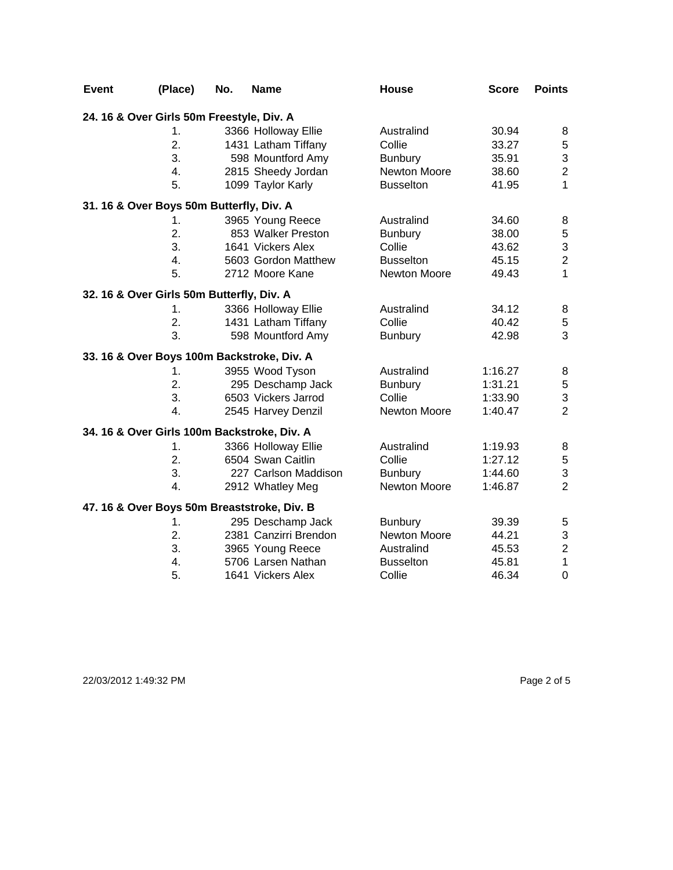| <b>Event</b> | (Place)                                     | No. | <b>Name</b>                                 | <b>House</b>        | <b>Score</b> | <b>Points</b>             |
|--------------|---------------------------------------------|-----|---------------------------------------------|---------------------|--------------|---------------------------|
|              | 24. 16 & Over Girls 50m Freestyle, Div. A   |     |                                             |                     |              |                           |
|              | 1.                                          |     | 3366 Holloway Ellie                         | Australind          | 30.94        | 8                         |
|              | 2.                                          |     | 1431 Latham Tiffany                         | Collie              | 33.27        | $\mathbf 5$               |
|              | 3.                                          |     | 598 Mountford Amy                           | <b>Bunbury</b>      | 35.91        | 3                         |
|              | 4.                                          |     | 2815 Sheedy Jordan                          | Newton Moore        | 38.60        | $\overline{2}$            |
|              | 5.                                          |     | 1099 Taylor Karly                           | <b>Busselton</b>    | 41.95        | $\mathbf{1}$              |
|              | 31. 16 & Over Boys 50m Butterfly, Div. A    |     |                                             |                     |              |                           |
|              | 1.                                          |     | 3965 Young Reece                            | Australind          | 34.60        | 8                         |
|              | 2.                                          |     | 853 Walker Preston                          | <b>Bunbury</b>      | 38.00        | $\mathbf 5$               |
|              | 3.                                          |     | 1641 Vickers Alex                           | Collie              | 43.62        | 3                         |
|              | 4.                                          |     | 5603 Gordon Matthew                         | <b>Busselton</b>    | 45.15        | $\overline{c}$            |
|              | 5.                                          |     | 2712 Moore Kane                             | <b>Newton Moore</b> | 49.43        | 1                         |
|              | 32. 16 & Over Girls 50m Butterfly, Div. A   |     |                                             |                     |              |                           |
|              | 1.                                          |     | 3366 Holloway Ellie                         | Australind          | 34.12        | 8                         |
|              | 2.                                          |     | 1431 Latham Tiffany                         | Collie              | 40.42        | $\sqrt{5}$                |
|              | 3.                                          |     | 598 Mountford Amy                           | <b>Bunbury</b>      | 42.98        | 3                         |
|              | 33. 16 & Over Boys 100m Backstroke, Div. A  |     |                                             |                     |              |                           |
|              | 1.                                          |     | 3955 Wood Tyson                             | Australind          | 1:16.27      | 8                         |
|              | 2.                                          |     | 295 Deschamp Jack                           | <b>Bunbury</b>      | 1:31.21      | 5                         |
|              | 3.                                          |     | 6503 Vickers Jarrod                         | Collie              | 1:33.90      | $\mathsf 3$               |
|              | $\overline{4}$ .                            |     | 2545 Harvey Denzil                          | <b>Newton Moore</b> | 1:40.47      | $\overline{2}$            |
|              | 34. 16 & Over Girls 100m Backstroke, Div. A |     |                                             |                     |              |                           |
|              | 1.                                          |     | 3366 Holloway Ellie                         | Australind          | 1:19.93      | 8                         |
|              | 2.                                          |     | 6504 Swan Caitlin                           | Collie              | 1:27.12      | $\mathbf 5$               |
|              | 3.                                          |     | 227 Carlson Maddison                        | <b>Bunbury</b>      | 1:44.60      | $\ensuremath{\mathsf{3}}$ |
|              | $\overline{4}$ .                            |     | 2912 Whatley Meg                            | Newton Moore        | 1:46.87      | $\overline{2}$            |
|              |                                             |     | 47. 16 & Over Boys 50m Breaststroke, Div. B |                     |              |                           |
|              | 1.                                          |     | 295 Deschamp Jack                           | <b>Bunbury</b>      | 39.39        | 5                         |
|              | 2.                                          |     | 2381 Canzirri Brendon                       | Newton Moore        | 44.21        | $\mathfrak{S}$            |
|              | 3.                                          |     | 3965 Young Reece                            | Australind          | 45.53        | $\overline{2}$            |
|              | 4.                                          |     | 5706 Larsen Nathan                          | <b>Busselton</b>    | 45.81        | $\mathbf{1}$              |
|              | 5.                                          |     | 1641 Vickers Alex                           | Collie              | 46.34        | $\overline{0}$            |

22/03/2012 1:49:32 PM Page 2 of 5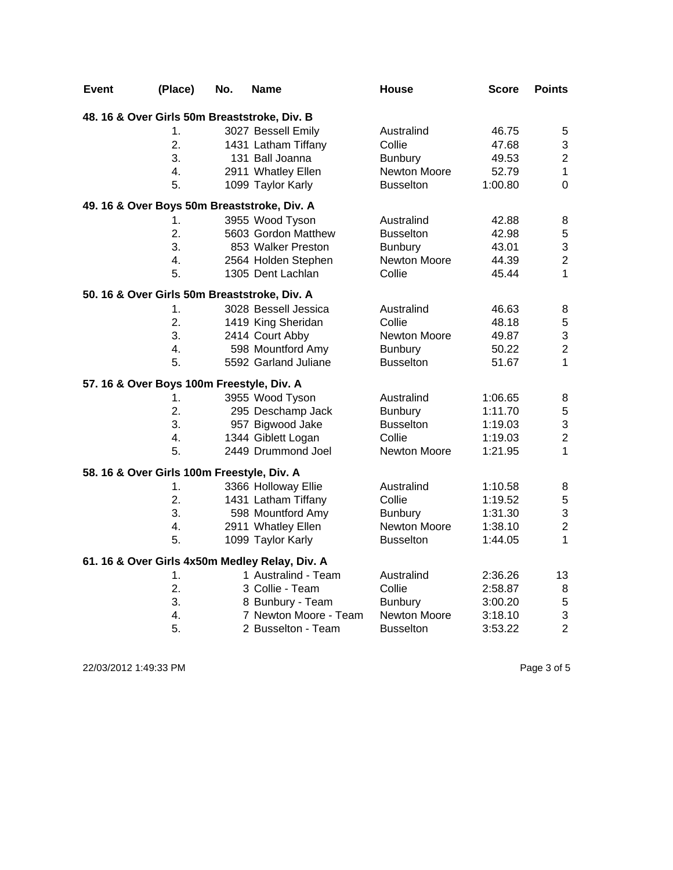| <b>Event</b> | (Place)                                      | No. | <b>Name</b>                                    | <b>House</b>     | <b>Score</b> | <b>Points</b>  |
|--------------|----------------------------------------------|-----|------------------------------------------------|------------------|--------------|----------------|
|              | 48. 16 & Over Girls 50m Breaststroke, Div. B |     |                                                |                  |              |                |
|              | 1.                                           |     | 3027 Bessell Emily                             | Australind       | 46.75        | 5              |
|              | 2.                                           |     | 1431 Latham Tiffany                            | Collie           | 47.68        | 3              |
|              | 3.                                           |     | 131 Ball Joanna                                | <b>Bunbury</b>   | 49.53        | $\overline{2}$ |
|              | 4.                                           |     | 2911 Whatley Ellen                             | Newton Moore     | 52.79        | $\mathbf{1}$   |
|              | 5.                                           |     | 1099 Taylor Karly                              | <b>Busselton</b> | 1:00.80      | $\mathbf 0$    |
|              |                                              |     | 49. 16 & Over Boys 50m Breaststroke, Div. A    |                  |              |                |
|              | 1.                                           |     | 3955 Wood Tyson                                | Australind       | 42.88        | 8              |
|              | 2.                                           |     | 5603 Gordon Matthew                            | <b>Busselton</b> | 42.98        | $\mathbf 5$    |
|              | 3.                                           |     | 853 Walker Preston                             | <b>Bunbury</b>   | 43.01        | $\mathfrak{S}$ |
|              | 4.                                           |     | 2564 Holden Stephen                            | Newton Moore     | 44.39        | $\overline{2}$ |
|              | 5.                                           |     | 1305 Dent Lachlan                              | Collie           | 45.44        | $\mathbf{1}$   |
|              | 50. 16 & Over Girls 50m Breaststroke, Div. A |     |                                                |                  |              |                |
|              | 1.                                           |     | 3028 Bessell Jessica                           | Australind       | 46.63        | 8              |
|              | 2.                                           |     | 1419 King Sheridan                             | Collie           | 48.18        | $\mathbf 5$    |
|              | 3.                                           |     | 2414 Court Abby                                | Newton Moore     | 49.87        | 3              |
|              | $\overline{4}$ .                             |     | 598 Mountford Amy                              | <b>Bunbury</b>   | 50.22        | $\overline{c}$ |
|              | 5.                                           |     | 5592 Garland Juliane                           | <b>Busselton</b> | 51.67        | $\mathbf{1}$   |
|              | 57. 16 & Over Boys 100m Freestyle, Div. A    |     |                                                |                  |              |                |
|              | 1.                                           |     | 3955 Wood Tyson                                | Australind       | 1:06.65      | 8              |
|              | 2.                                           |     | 295 Deschamp Jack                              | <b>Bunbury</b>   | 1:11.70      | 5              |
|              | 3.                                           |     | 957 Bigwood Jake                               | <b>Busselton</b> | 1:19.03      | 3              |
|              | 4.                                           |     | 1344 Giblett Logan                             | Collie           | 1:19.03      | $\overline{2}$ |
|              | 5.                                           |     | 2449 Drummond Joel                             | Newton Moore     | 1:21.95      | $\mathbf{1}$   |
|              | 58. 16 & Over Girls 100m Freestyle, Div. A   |     |                                                |                  |              |                |
|              | 1.                                           |     | 3366 Holloway Ellie                            | Australind       | 1:10.58      | 8              |
|              | 2.                                           |     | 1431 Latham Tiffany                            | Collie           | 1:19.52      | 5              |
|              | 3.                                           |     | 598 Mountford Amy                              | <b>Bunbury</b>   | 1:31.30      | 3              |
|              | 4.                                           |     | 2911 Whatley Ellen                             | Newton Moore     | 1:38.10      | $\overline{2}$ |
|              | 5.                                           |     | 1099 Taylor Karly                              | <b>Busselton</b> | 1:44.05      | $\mathbf{1}$   |
|              |                                              |     | 61. 16 & Over Girls 4x50m Medley Relay, Div. A |                  |              |                |
|              | 1.                                           |     | 1 Australind - Team                            | Australind       | 2:36.26      | 13             |
|              | 2.                                           |     | 3 Collie - Team                                | Collie           | 2:58.87      | 8              |
|              | 3.                                           |     | 8 Bunbury - Team                               | <b>Bunbury</b>   | 3:00.20      | 5              |
|              | $\overline{4}$ .                             |     | 7 Newton Moore - Team                          | Newton Moore     | 3:18.10      | $\mathfrak{S}$ |
|              | 5.                                           |     | 2 Busselton - Team                             | <b>Busselton</b> | 3:53.22      | $\overline{2}$ |

22/03/2012 1:49:33 PM Page 3 of 5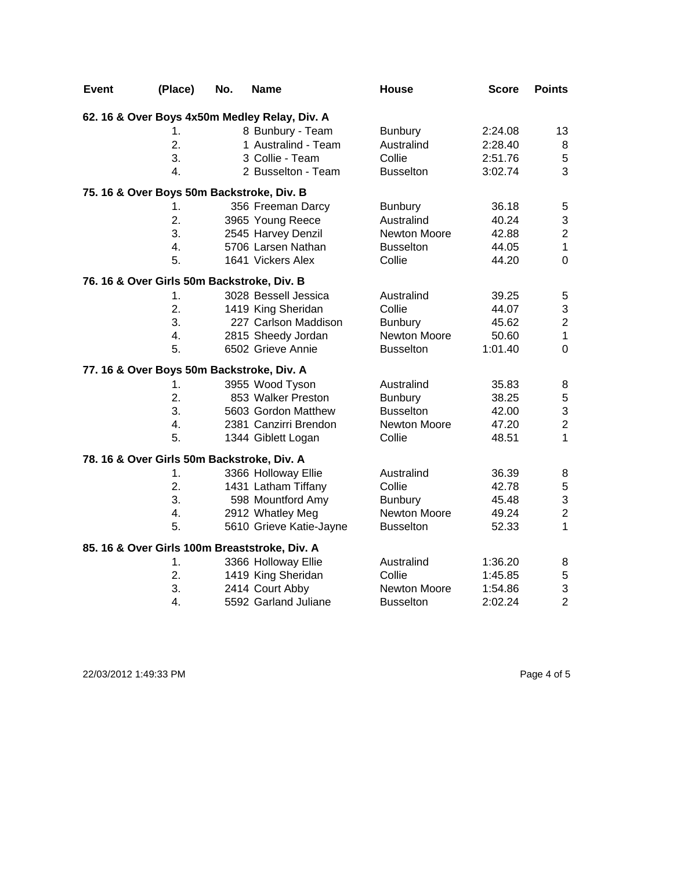| <b>Event</b> | (Place)                                    | No. | <b>Name</b>                                   | <b>House</b>        | <b>Score</b> | <b>Points</b>    |
|--------------|--------------------------------------------|-----|-----------------------------------------------|---------------------|--------------|------------------|
|              |                                            |     | 62. 16 & Over Boys 4x50m Medley Relay, Div. A |                     |              |                  |
|              | 1.                                         |     | 8 Bunbury - Team                              | <b>Bunbury</b>      | 2:24.08      | 13               |
|              | 2.                                         |     | 1 Australind - Team                           | Australind          | 2:28.40      | 8                |
|              | 3.                                         |     | 3 Collie - Team                               | Collie              | 2:51.76      | $\mathbf 5$      |
|              | 4.                                         |     | 2 Busselton - Team                            | <b>Busselton</b>    | 3:02.74      | 3                |
|              | 75. 16 & Over Boys 50m Backstroke, Div. B  |     |                                               |                     |              |                  |
|              | 1.                                         |     | 356 Freeman Darcy                             | <b>Bunbury</b>      | 36.18        | $\mathbf 5$      |
|              | 2.                                         |     | 3965 Young Reece                              | Australind          | 40.24        | $\mathfrak{S}$   |
|              | 3.                                         |     | 2545 Harvey Denzil                            | <b>Newton Moore</b> | 42.88        | $\boldsymbol{2}$ |
|              | 4.                                         |     | 5706 Larsen Nathan                            | <b>Busselton</b>    | 44.05        | $\mathbf 1$      |
|              | 5.                                         |     | 1641 Vickers Alex                             | Collie              | 44.20        | $\mathbf 0$      |
|              | 76. 16 & Over Girls 50m Backstroke, Div. B |     |                                               |                     |              |                  |
|              | 1.                                         |     | 3028 Bessell Jessica                          | Australind          | 39.25        | $\sqrt{5}$       |
|              | 2.                                         |     | 1419 King Sheridan                            | Collie              | 44.07        | 3                |
|              | 3.                                         |     | 227 Carlson Maddison                          | <b>Bunbury</b>      | 45.62        | $\overline{2}$   |
|              | 4.                                         |     | 2815 Sheedy Jordan                            | <b>Newton Moore</b> | 50.60        | $\mathbf{1}$     |
|              | 5.                                         |     | 6502 Grieve Annie                             | <b>Busselton</b>    | 1:01.40      | $\mathbf 0$      |
|              | 77. 16 & Over Boys 50m Backstroke, Div. A  |     |                                               |                     |              |                  |
|              | 1.                                         |     | 3955 Wood Tyson                               | Australind          | 35.83        | 8                |
|              | 2.                                         |     | 853 Walker Preston                            | <b>Bunbury</b>      | 38.25        | 5                |
|              | 3.                                         |     | 5603 Gordon Matthew                           | <b>Busselton</b>    | 42.00        | 3                |
|              | 4.                                         |     | 2381 Canzirri Brendon                         | <b>Newton Moore</b> | 47.20        | $\mathbf 2$      |
|              | 5.                                         |     | 1344 Giblett Logan                            | Collie              | 48.51        | 1                |
|              | 78. 16 & Over Girls 50m Backstroke, Div. A |     |                                               |                     |              |                  |
|              | 1.                                         |     | 3366 Holloway Ellie                           | Australind          | 36.39        | 8                |
|              | 2.                                         |     | 1431 Latham Tiffany                           | Collie              | 42.78        | 5                |
|              | 3.                                         |     | 598 Mountford Amy                             | <b>Bunbury</b>      | 45.48        | 3                |
|              | 4.                                         |     | 2912 Whatley Meg                              | <b>Newton Moore</b> | 49.24        | $\overline{2}$   |
|              | 5.                                         |     | 5610 Grieve Katie-Jayne                       | <b>Busselton</b>    | 52.33        | $\mathbf{1}$     |
|              |                                            |     | 85. 16 & Over Girls 100m Breaststroke, Div. A |                     |              |                  |
|              | 1.                                         |     | 3366 Holloway Ellie                           | Australind          | 1:36.20      | 8                |
|              | 2.                                         |     | 1419 King Sheridan                            | Collie              | 1:45.85      | $\mathbf 5$      |
|              | 3.                                         |     | 2414 Court Abby                               | <b>Newton Moore</b> | 1:54.86      | 3                |
|              | 4.                                         |     | 5592 Garland Juliane                          | <b>Busselton</b>    | 2:02.24      | $\overline{2}$   |

22/03/2012 1:49:33 PM Page 4 of 5